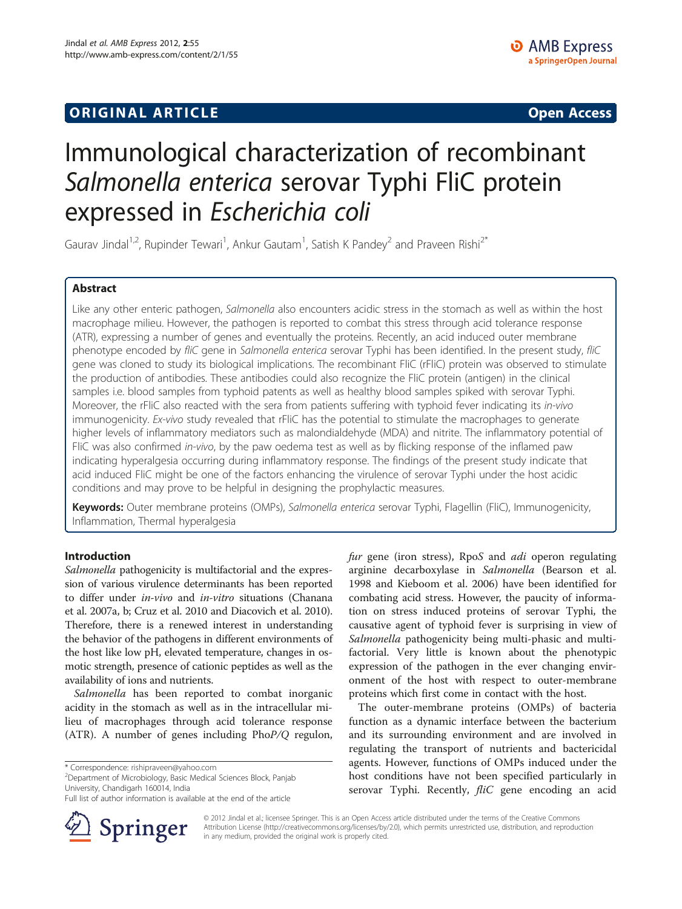# **ORIGINAL ARTICLE CONSUMING A LIGACION CONSUMING A LIGACION CONSUMING A LIGACION**

# Immunological characterization of recombinant Salmonella enterica serovar Typhi FliC protein expressed in Escherichia coli

Gaurav Jindal<sup>1,2</sup>, Rupinder Tewari<sup>1</sup>, Ankur Gautam<sup>1</sup>, Satish K Pandey<sup>2</sup> and Praveen Rishi<sup>2\*</sup>

# Abstract

Like any other enteric pathogen, Salmonella also encounters acidic stress in the stomach as well as within the host macrophage milieu. However, the pathogen is reported to combat this stress through acid tolerance response (ATR), expressing a number of genes and eventually the proteins. Recently, an acid induced outer membrane phenotype encoded by fliC gene in Salmonella enterica serovar Typhi has been identified. In the present study, fliC gene was cloned to study its biological implications. The recombinant FliC (rFliC) protein was observed to stimulate the production of antibodies. These antibodies could also recognize the FliC protein (antigen) in the clinical samples i.e. blood samples from typhoid patents as well as healthy blood samples spiked with serovar Typhi. Moreover, the rFliC also reacted with the sera from patients suffering with typhoid fever indicating its in-vivo immunogenicity. Ex-vivo study revealed that rFliC has the potential to stimulate the macrophages to generate higher levels of inflammatory mediators such as malondialdehyde (MDA) and nitrite. The inflammatory potential of FliC was also confirmed in-vivo, by the paw oedema test as well as by flicking response of the inflamed paw indicating hyperalgesia occurring during inflammatory response. The findings of the present study indicate that acid induced FliC might be one of the factors enhancing the virulence of serovar Typhi under the host acidic conditions and may prove to be helpful in designing the prophylactic measures.

Keywords: Outer membrane proteins (OMPs), Salmonella enterica serovar Typhi, Flagellin (FliC), Immunogenicity, Inflammation, Thermal hyperalgesia

## Introduction

Salmonella pathogenicity is multifactorial and the expression of various virulence determinants has been reported to differ under in-vivo and in-vitro situations (Chanana et al. 2007a, b; Cruz et al. 2010 and Diacovich et al. 2010). Therefore, there is a renewed interest in understanding the behavior of the pathogens in different environments of the host like low pH, elevated temperature, changes in osmotic strength, presence of cationic peptides as well as the availability of ions and nutrients.

Salmonella has been reported to combat inorganic acidity in the stomach as well as in the intracellular milieu of macrophages through acid tolerance response (ATR). A number of genes including PhoP/Q regulon,

Department of Microbiology, Basic Medical Sciences Block, Panjab University, Chandigarh 160014, India

Full list of author information is available at the end of the article



fur gene (iron stress), RpoS and *adi* operon regulating arginine decarboxylase in Salmonella (Bearson et al. 1998 and Kieboom et al. 2006) have been identified for combating acid stress. However, the paucity of information on stress induced proteins of serovar Typhi, the causative agent of typhoid fever is surprising in view of Salmonella pathogenicity being multi-phasic and multifactorial. Very little is known about the phenotypic expression of the pathogen in the ever changing environment of the host with respect to outer-membrane proteins which first come in contact with the host.

The outer-membrane proteins (OMPs) of bacteria function as a dynamic interface between the bacterium and its surrounding environment and are involved in regulating the transport of nutrients and bactericidal agents. However, functions of OMPs induced under the host conditions have not been specified particularly in serovar Typhi. Recently, *fliC* gene encoding an acid

© 2012 Jindal et al.; licensee Springer. This is an Open Access article distributed under the terms of the Creative Commons Attribution License [\(http://creativecommons.org/licenses/by/2.0\)](http://creativecommons.org/licenses/by/2.0), which permits unrestricted use, distribution, and reproduction in any medium, provided the original work is properly cited.

<sup>\*</sup> Correspondence: [rishipraveen@yahoo.com](mailto:rishipraveen@yahoo.com) <sup>2</sup>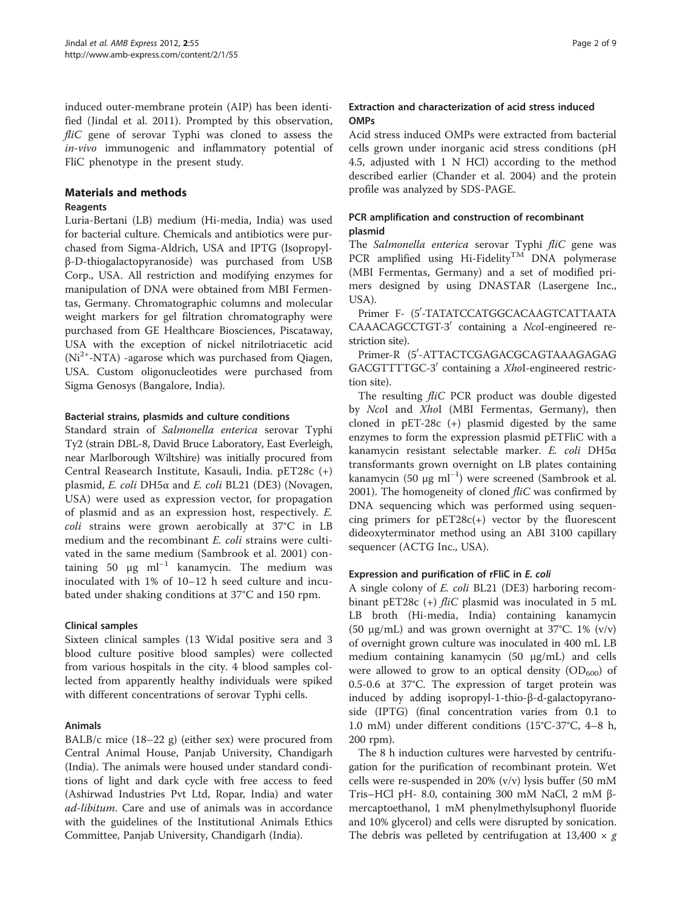induced outer-membrane protein (AIP) has been identified (Jindal et al. 2011). Prompted by this observation,  $fliC$  gene of serovar Typhi was cloned to assess the in-vivo immunogenic and inflammatory potential of FliC phenotype in the present study.

## Materials and methods

## Reagents

Luria-Bertani (LB) medium (Hi-media, India) was used for bacterial culture. Chemicals and antibiotics were purchased from Sigma-Aldrich, USA and IPTG (Isopropylβ-D-thiogalactopyranoside) was purchased from USB Corp., USA. All restriction and modifying enzymes for manipulation of DNA were obtained from MBI Fermentas, Germany. Chromatographic columns and molecular weight markers for gel filtration chromatography were purchased from GE Healthcare Biosciences, Piscataway, USA with the exception of nickel nitrilotriacetic acid  $(Ni^{2+}$ -NTA) -agarose which was purchased from Qiagen, USA. Custom oligonucleotides were purchased from Sigma Genosys (Bangalore, India).

## Bacterial strains, plasmids and culture conditions

Standard strain of Salmonella enterica serovar Typhi Ty2 (strain DBL-8, David Bruce Laboratory, East Everleigh, near Marlborough Wiltshire) was initially procured from Central Reasearch Institute, Kasauli, India. pET28c (+) plasmid, E. coli DH5α and E. coli BL21 (DE3) (Novagen, USA) were used as expression vector, for propagation of plasmid and as an expression host, respectively. E. coli strains were grown aerobically at 37°C in LB medium and the recombinant E. coli strains were cultivated in the same medium (Sambrook et al. [2001](#page-7-0)) containing 50  $\mu$ g ml<sup>-1</sup> kanamycin. The medium was inoculated with 1% of 10–12 h seed culture and incubated under shaking conditions at 37°C and 150 rpm.

# Clinical samples

Sixteen clinical samples (13 Widal positive sera and 3 blood culture positive blood samples) were collected from various hospitals in the city. 4 blood samples collected from apparently healthy individuals were spiked with different concentrations of serovar Typhi cells.

# Animals

BALB/c mice (18–22 g) (either sex) were procured from Central Animal House, Panjab University, Chandigarh (India). The animals were housed under standard conditions of light and dark cycle with free access to feed (Ashirwad Industries Pvt Ltd, Ropar, India) and water ad-libitum. Care and use of animals was in accordance with the guidelines of the Institutional Animals Ethics Committee, Panjab University, Chandigarh (India).

# Extraction and characterization of acid stress induced **OMPs**

Acid stress induced OMPs were extracted from bacterial cells grown under inorganic acid stress conditions (pH 4.5, adjusted with 1 N HCl) according to the method described earlier (Chander et al. 2004) and the protein profile was analyzed by SDS-PAGE.

# PCR amplification and construction of recombinant plasmid

The Salmonella enterica serovar Typhi fliC gene was PCR amplified using Hi-Fidelity<sup>TM</sup> DNA polymerase (MBI Fermentas, Germany) and a set of modified primers designed by using DNASTAR (Lasergene Inc., USA).

Primer F- (5'-TATATCCATGGCACAAGTCATTAATA CAAACAGCCTGT-3' containing a NcoI-engineered restriction site).

Primer-R (5'-ATTACTCGAGACGCAGTAAAGAGAG GACGTTTTGC-3' containing a XhoI-engineered restriction site).

The resulting *fliC* PCR product was double digested by NcoI and XhoI (MBI Fermentas, Germany), then cloned in pET-28c (+) plasmid digested by the same enzymes to form the expression plasmid pETFliC with a kanamycin resistant selectable marker. E. coli DH5α transformants grown overnight on LB plates containing kanamycin (50 μg ml−<sup>1</sup> ) were screened (Sambrook et al. [2001](#page-7-0)). The homogeneity of cloned  $\text{fliC}$  was confirmed by DNA sequencing which was performed using sequencing primers for  $pET28c(+)$  vector by the fluorescent dideoxyterminator method using an ABI 3100 capillary sequencer (ACTG Inc., USA).

## Expression and purification of rFliC in E. coli

A single colony of E. coli BL21 (DE3) harboring recombinant pET28c  $(+)$  *fliC* plasmid was inoculated in 5 mL LB broth (Hi-media, India) containing kanamycin (50  $\mu$ g/mL) and was grown overnight at 37°C. 1% (v/v) of overnight grown culture was inoculated in 400 mL LB medium containing kanamycin (50 μg/mL) and cells were allowed to grow to an optical density  $(OD_{600})$  of 0.5-0.6 at 37°C. The expression of target protein was induced by adding isopropyl-1-thio-β-d-galactopyranoside (IPTG) (final concentration varies from 0.1 to 1.0 mM) under different conditions (15°C-37°C, 4–8 h, 200 rpm).

The 8 h induction cultures were harvested by centrifugation for the purification of recombinant protein. Wet cells were re-suspended in 20% (v/v) lysis buffer (50 mM Tris–HCl pH- 8.0, containing 300 mM NaCl, 2 mM βmercaptoethanol, 1 mM phenylmethylsuphonyl fluoride and 10% glycerol) and cells were disrupted by sonication. The debris was pelleted by centrifugation at  $13,400 \times g$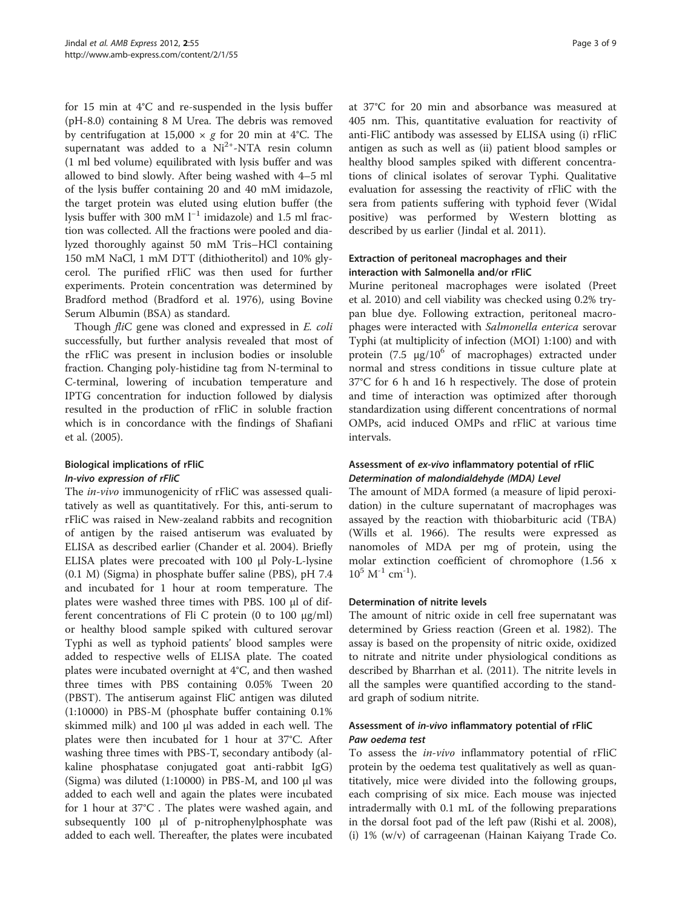for 15 min at 4°C and re-suspended in the lysis buffer (pH-8.0) containing 8 M Urea. The debris was removed by centrifugation at  $15,000 \times g$  for 20 min at 4°C. The supernatant was added to a  $Ni<sup>2+</sup>-NTA$  resin column (1 ml bed volume) equilibrated with lysis buffer and was allowed to bind slowly. After being washed with 4–5 ml of the lysis buffer containing 20 and 40 mM imidazole, the target protein was eluted using elution buffer (the lysis buffer with 300 mM  $l^{-1}$  imidazole) and 1.5 ml fraction was collected. All the fractions were pooled and dialyzed thoroughly against 50 mM Tris–HCl containing 150 mM NaCl, 1 mM DTT (dithiotheritol) and 10% glycerol. The purified rFliC was then used for further experiments. Protein concentration was determined by Bradford method ([Bradford et al. 1976](#page-7-0)), using Bovine Serum Albumin (BSA) as standard.

Though fliC gene was cloned and expressed in E. coli successfully, but further analysis revealed that most of the rFliC was present in inclusion bodies or insoluble fraction. Changing poly-histidine tag from N-terminal to C-terminal, lowering of incubation temperature and IPTG concentration for induction followed by dialysis resulted in the production of rFliC in soluble fraction which is in concordance with the findings of [Shafiani](#page-7-0) [et al.](#page-7-0) [\(2005](#page-7-0)).

# Biological implications of rFliC In-vivo expression of rFliC

The *in-vivo* immunogenicity of rFliC was assessed qualitatively as well as quantitatively. For this, anti-serum to rFliC was raised in New-zealand rabbits and recognition of antigen by the raised antiserum was evaluated by ELISA as described earlier (Chander et al. 2004). Briefly ELISA plates were precoated with 100 μl Poly-L-lysine (0.1 M) (Sigma) in phosphate buffer saline (PBS), pH 7.4 and incubated for 1 hour at room temperature. The plates were washed three times with PBS. 100 μl of different concentrations of Fli C protein (0 to 100 μg/ml) or healthy blood sample spiked with cultured serovar Typhi as well as typhoid patients' blood samples were added to respective wells of ELISA plate. The coated plates were incubated overnight at 4°C, and then washed three times with PBS containing 0.05% Tween 20 (PBST). The antiserum against FliC antigen was diluted (1:10000) in PBS-M (phosphate buffer containing 0.1% skimmed milk) and 100 μl was added in each well. The plates were then incubated for 1 hour at 37°C. After washing three times with PBS-T, secondary antibody (alkaline phosphatase conjugated goat anti-rabbit IgG) (Sigma) was diluted  $(1:10000)$  in PBS-M, and 100  $\mu$ l was added to each well and again the plates were incubated for 1 hour at 37°C . The plates were washed again, and subsequently 100 μl of p-nitrophenylphosphate was added to each well. Thereafter, the plates were incubated at 37°C for 20 min and absorbance was measured at 405 nm. This, quantitative evaluation for reactivity of anti-FliC antibody was assessed by ELISA using (i) rFliC antigen as such as well as (ii) patient blood samples or healthy blood samples spiked with different concentrations of clinical isolates of serovar Typhi. Qualitative evaluation for assessing the reactivity of rFliC with the sera from patients suffering with typhoid fever (Widal positive) was performed by Western blotting as described by us earlier (Jindal et al. 2011).

## Extraction of peritoneal macrophages and their interaction with Salmonella and/or rFliC

Murine peritoneal macrophages were isolated [\(Preet](#page-7-0) [et al. 2010](#page-7-0)) and cell viability was checked using 0.2% trypan blue dye. Following extraction, peritoneal macrophages were interacted with Salmonella enterica serovar Typhi (at multiplicity of infection (MOI) 1:100) and with protein (7.5  $\mu$ g/10<sup>6</sup> of macrophages) extracted under normal and stress conditions in tissue culture plate at 37°C for 6 h and 16 h respectively. The dose of protein and time of interaction was optimized after thorough standardization using different concentrations of normal OMPs, acid induced OMPs and rFliC at various time intervals.

## Assessment of ex-vivo inflammatory potential of rFliC Determination of malondialdehyde (MDA) Level

The amount of MDA formed (a measure of lipid peroxidation) in the culture supernatant of macrophages was assayed by the reaction with thiobarbituric acid (TBA) ([Wills et al. 1966](#page-8-0)). The results were expressed as nanomoles of MDA per mg of protein, using the molar extinction coefficient of chromophore (1.56 x  $10^5$  M<sup>-1</sup> cm<sup>-1</sup>).

## Determination of nitrite levels

The amount of nitric oxide in cell free supernatant was determined by Griess reaction [\(Green et al. 1982\)](#page-7-0). The assay is based on the propensity of nitric oxide, oxidized to nitrate and nitrite under physiological conditions as described by [Bharrhan et al.](#page-7-0) [\(2011\)](#page-7-0). The nitrite levels in all the samples were quantified according to the standard graph of sodium nitrite.

## Assessment of in-vivo inflammatory potential of rFliC Paw oedema test

To assess the in-vivo inflammatory potential of rFliC protein by the oedema test qualitatively as well as quantitatively, mice were divided into the following groups, each comprising of six mice. Each mouse was injected intradermally with 0.1 mL of the following preparations in the dorsal foot pad of the left paw [\(Rishi et al. 2008](#page-7-0)), (i) 1% (w/v) of carrageenan (Hainan Kaiyang Trade Co.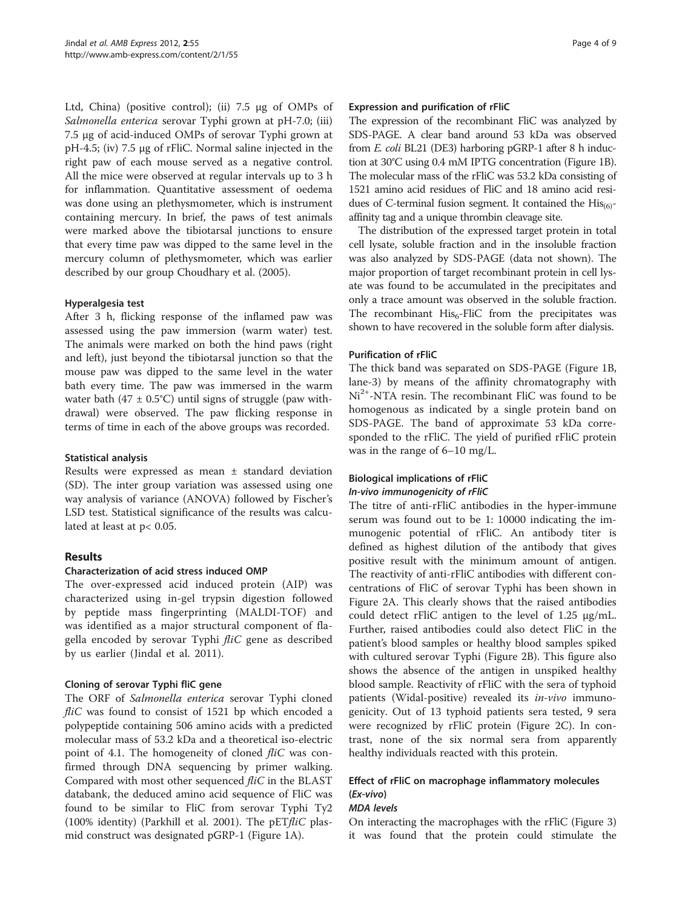Ltd, China) (positive control); (ii) 7.5 μg of OMPs of Salmonella enterica serovar Typhi grown at pH-7.0; (iii) 7.5 μg of acid-induced OMPs of serovar Typhi grown at pH-4.5; (iv) 7.5 μg of rFliC. Normal saline injected in the right paw of each mouse served as a negative control. All the mice were observed at regular intervals up to 3 h for inflammation. Quantitative assessment of oedema was done using an plethysmometer, which is instrument containing mercury. In brief, the paws of test animals were marked above the tibiotarsal junctions to ensure that every time paw was dipped to the same level in the mercury column of plethysmometer, which was earlier described by our group [Choudhary et al.](#page-7-0) ([2005\)](#page-7-0).

#### Hyperalgesia test

After 3 h, flicking response of the inflamed paw was assessed using the paw immersion (warm water) test. The animals were marked on both the hind paws (right and left), just beyond the tibiotarsal junction so that the mouse paw was dipped to the same level in the water bath every time. The paw was immersed in the warm water bath (47  $\pm$  0.5°C) until signs of struggle (paw withdrawal) were observed. The paw flicking response in terms of time in each of the above groups was recorded.

#### Statistical analysis

Results were expressed as mean ± standard deviation (SD). The inter group variation was assessed using one way analysis of variance (ANOVA) followed by Fischer's LSD test. Statistical significance of the results was calculated at least at p< 0.05.

## Results

#### Characterization of acid stress induced OMP

The over-expressed acid induced protein (AIP) was characterized using in-gel trypsin digestion followed by peptide mass fingerprinting (MALDI-TOF) and was identified as a major structural component of flagella encoded by serovar Typhi fliC gene as described by us earlier ([Jindal et al. 2011](#page-7-0)).

#### Cloning of serovar Typhi fliC gene

The ORF of Salmonella enterica serovar Typhi cloned *fliC* was found to consist of 1521 bp which encoded a polypeptide containing 506 amino acids with a predicted molecular mass of 53.2 kDa and a theoretical iso-electric point of 4.1. The homogeneity of cloned  $\text{fil } C$  was confirmed through DNA sequencing by primer walking. Compared with most other sequenced  $\text{flic}$  in the BLAST databank, the deduced amino acid sequence of FliC was found to be similar to FliC from serovar Typhi Ty2 (100% identity) [\(Parkhill et al. 2001\)](#page-7-0). The  $pETflic$  plasmid construct was designated pGRP-1 (Figure [1A](#page-4-0)).

#### Expression and purification of rFliC

The expression of the recombinant FliC was analyzed by SDS-PAGE. A clear band around 53 kDa was observed from *E. coli* BL21 (DE3) harboring pGRP-1 after 8 h induction at 30°C using 0.4 mM IPTG concentration (Figure [1B](#page-4-0)). The molecular mass of the rFliC was 53.2 kDa consisting of 1521 amino acid residues of FliC and 18 amino acid residues of C-terminal fusion segment. It contained the  $His<sub>(6)</sub>$ affinity tag and a unique thrombin cleavage site.

The distribution of the expressed target protein in total cell lysate, soluble fraction and in the insoluble fraction was also analyzed by SDS-PAGE (data not shown). The major proportion of target recombinant protein in cell lysate was found to be accumulated in the precipitates and only a trace amount was observed in the soluble fraction. The recombinant  $His<sub>6</sub>-FliC$  from the precipitates was shown to have recovered in the soluble form after dialysis.

#### Purification of rFliC

The thick band was separated on SDS-PAGE (Figure [1B](#page-4-0), lane-3) by means of the affinity chromatography with  $Ni<sup>2+</sup>-NTA$  resin. The recombinant FliC was found to be homogenous as indicated by a single protein band on SDS-PAGE. The band of approximate 53 kDa corresponded to the rFliC. The yield of purified rFliC protein was in the range of 6–10 mg/L.

## Biological implications of rFliC In-vivo immunogenicity of rFliC

The titre of anti-rFliC antibodies in the hyper-immune serum was found out to be 1: 10000 indicating the immunogenic potential of rFliC. An antibody titer is defined as highest dilution of the antibody that gives positive result with the minimum amount of antigen. The reactivity of anti-rFliC antibodies with different concentrations of FliC of serovar Typhi has been shown in Figure [2A](#page-4-0). This clearly shows that the raised antibodies could detect rFliC antigen to the level of 1.25 μg/mL. Further, raised antibodies could also detect FliC in the patient's blood samples or healthy blood samples spiked with cultured serovar Typhi (Figure [2B](#page-4-0)). This figure also shows the absence of the antigen in unspiked healthy blood sample. Reactivity of rFliC with the sera of typhoid patients (Widal-positive) revealed its in-vivo immunogenicity. Out of 13 typhoid patients sera tested, 9 sera were recognized by rFliC protein (Figure [2C\)](#page-4-0). In contrast, none of the six normal sera from apparently healthy individuals reacted with this protein.

# Effect of rFliC on macrophage inflammatory molecules (Ex-vivo)

## MDA levels

On interacting the macrophages with the rFliC (Figure [3](#page-5-0)) it was found that the protein could stimulate the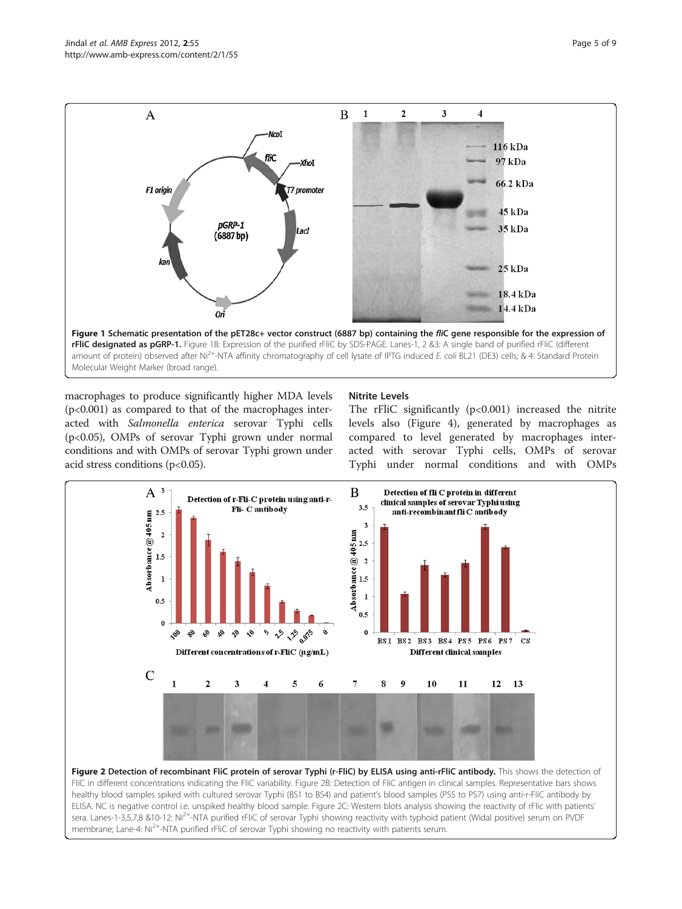<span id="page-4-0"></span>

macrophages to produce significantly higher MDA levels (p<0.001) as compared to that of the macrophages interacted with Salmonella enterica serovar Typhi cells (p<0.05), OMPs of serovar Typhi grown under normal conditions and with OMPs of serovar Typhi grown under acid stress conditions (p<0.05).

## Nitrite Levels

The rFliC significantly (p<0.001) increased the nitrite levels also (Figure [4](#page-5-0)), generated by macrophages as compared to level generated by macrophages interacted with serovar Typhi cells, OMPs of serovar Typhi under normal conditions and with OMPs



Figure 2 Detection of recombinant FliC protein of serovar Typhi (r-FliC) by ELISA using anti-rFliC antibody. This shows the detection of FliC in different concentrations indicating the FliC variability. Figure 2B: Detection of FliC antigen in clinical samples. Representative bars shows healthy blood samples spiked with cultured serovar Typhi (BS1 to BS4) and patient's blood samples (PS5 to PS7) using anti-r-FliC antibody by ELISA. NC is negative control i.e. unspiked healthy blood sample. Figure 2C: Western blots analysis showing the reactivity of rFlic with patients' sera. Lanes-1-3,5,7,8 &10-12: Ni<sup>2+</sup>-NTA purified rFliC of serovar Typhi showing reactivity with typhoid patient (Widal positive) serum on PVDF membrane; Lane-4: Ni<sup>2+</sup>-NTA purified rFliC of serovar Typhi showing no reactivity with patients serum.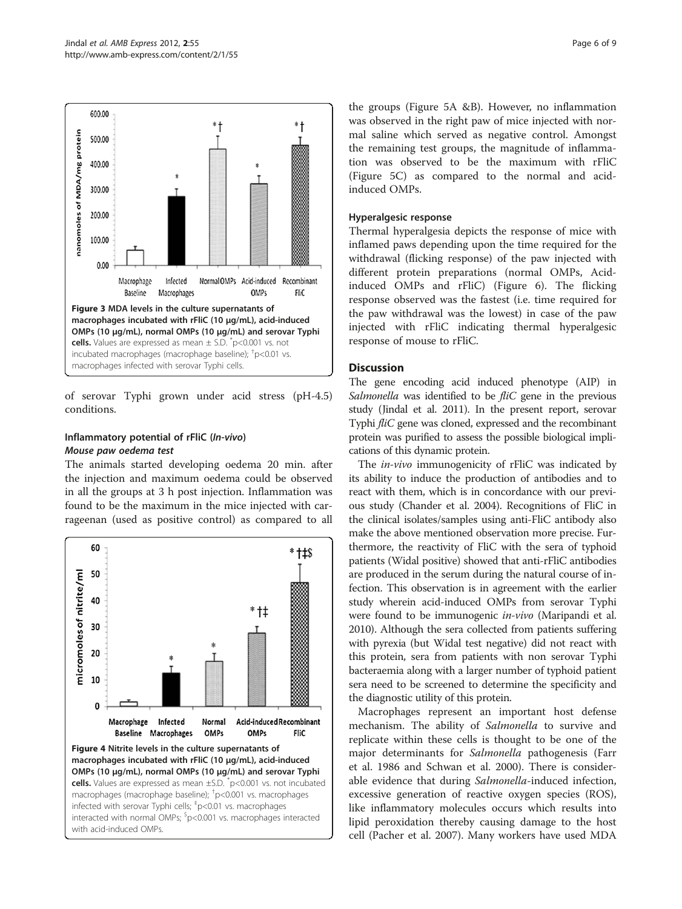<span id="page-5-0"></span>

of serovar Typhi grown under acid stress (pH-4.5) conditions.

## Inflammatory potential of rFliC (In-vivo) Mouse paw oedema test

The animals started developing oedema 20 min. after the injection and maximum oedema could be observed in all the groups at 3 h post injection. Inflammation was found to be the maximum in the mice injected with carrageenan (used as positive control) as compared to all



the groups (Figure [5A](#page-6-0) &B). However, no inflammation was observed in the right paw of mice injected with normal saline which served as negative control. Amongst the remaining test groups, the magnitude of inflammation was observed to be the maximum with rFliC (Figure [5C](#page-6-0)) as compared to the normal and acidinduced OMPs.

#### Hyperalgesic response

Thermal hyperalgesia depicts the response of mice with inflamed paws depending upon the time required for the withdrawal (flicking response) of the paw injected with different protein preparations (normal OMPs, Acidinduced OMPs and rFliC) (Figure [6\)](#page-6-0). The flicking response observed was the fastest (i.e. time required for the paw withdrawal was the lowest) in case of the paw injected with rFliC indicating thermal hyperalgesic response of mouse to rFliC.

#### **Discussion**

The gene encoding acid induced phenotype (AIP) in Salmonella was identified to be  $\mathit{filC}$  gene in the previous study ([Jindal et al. 2011](#page-7-0)). In the present report, serovar Typhi fliC gene was cloned, expressed and the recombinant protein was purified to assess the possible biological implications of this dynamic protein.

The *in-vivo* immunogenicity of rFliC was indicated by its ability to induce the production of antibodies and to react with them, which is in concordance with our previous study [\(Chander et al. 2004](#page-7-0)). Recognitions of FliC in the clinical isolates/samples using anti-FliC antibody also make the above mentioned observation more precise. Furthermore, the reactivity of FliC with the sera of typhoid patients (Widal positive) showed that anti-rFliC antibodies are produced in the serum during the natural course of infection. This observation is in agreement with the earlier study wherein acid-induced OMPs from serovar Typhi were found to be immunogenic in-vivo [\(Maripandi et al](#page-7-0). [2010\)](#page-7-0). Although the sera collected from patients suffering with pyrexia (but Widal test negative) did not react with this protein, sera from patients with non serovar Typhi bacteraemia along with a larger number of typhoid patient sera need to be screened to determine the specificity and the diagnostic utility of this protein.

Macrophages represent an important host defense mechanism. The ability of Salmonella to survive and replicate within these cells is thought to be one of the major determinants for Salmonella pathogenesis ([Farr](#page-7-0) [et al. 1986](#page-7-0) and [Schwan et al. 2000](#page-7-0)). There is considerable evidence that during *Salmonella*-induced infection, excessive generation of reactive oxygen species (ROS), like inflammatory molecules occurs which results into lipid peroxidation thereby causing damage to the host cell [\(Pacher et al. 2007\)](#page-7-0). Many workers have used MDA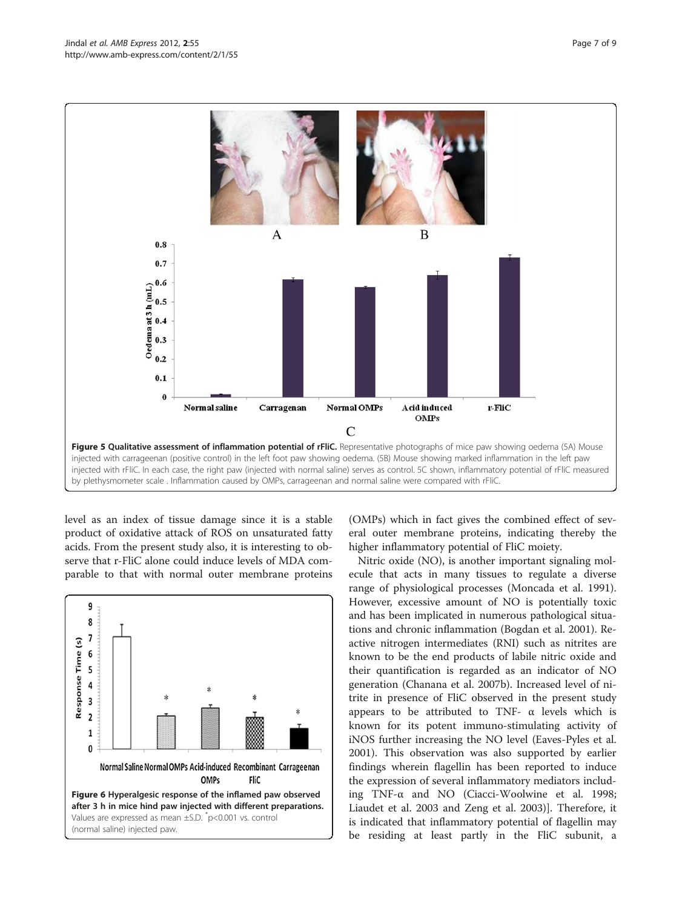level as an index of tissue damage since it is a stable product of oxidative attack of ROS on unsaturated fatty acids. From the present study also, it is interesting to observe that r-FliC alone could induce levels of MDA comparable to that with normal outer membrane proteins



(OMPs) which in fact gives the combined effect of several outer membrane proteins, indicating thereby the higher inflammatory potential of FliC moiety.

Nitric oxide (NO), is another important signaling molecule that acts in many tissues to regulate a diverse range of physiological processes [\(Moncada et al. 1991](#page-7-0)). However, excessive amount of NO is potentially toxic and has been implicated in numerous pathological situations and chronic inflammation (Bogdan et al. [2001](#page-7-0)). Reactive nitrogen intermediates (RNI) such as nitrites are known to be the end products of labile nitric oxide and their quantification is regarded as an indicator of NO generation ([Chanana et al. 2007b](#page-7-0)). Increased level of nitrite in presence of FliC observed in the present study appears to be attributed to TNF-  $\alpha$  levels which is known for its potent immuno-stimulating activity of iNOS further increasing the NO level (Eaves-Pyles et al. [2001](#page-7-0)). This observation was also supported by earlier findings wherein flagellin has been reported to induce the expression of several inflammatory mediators including TNF-α and NO ([Ciacci-Woolwine et al. 1998](#page-7-0); [Liaudet et al. 2003](#page-7-0) and [Zeng et al. 2003](#page-8-0))]. Therefore, it is indicated that inflammatory potential of flagellin may be residing at least partly in the FliC subunit, a

<span id="page-6-0"></span>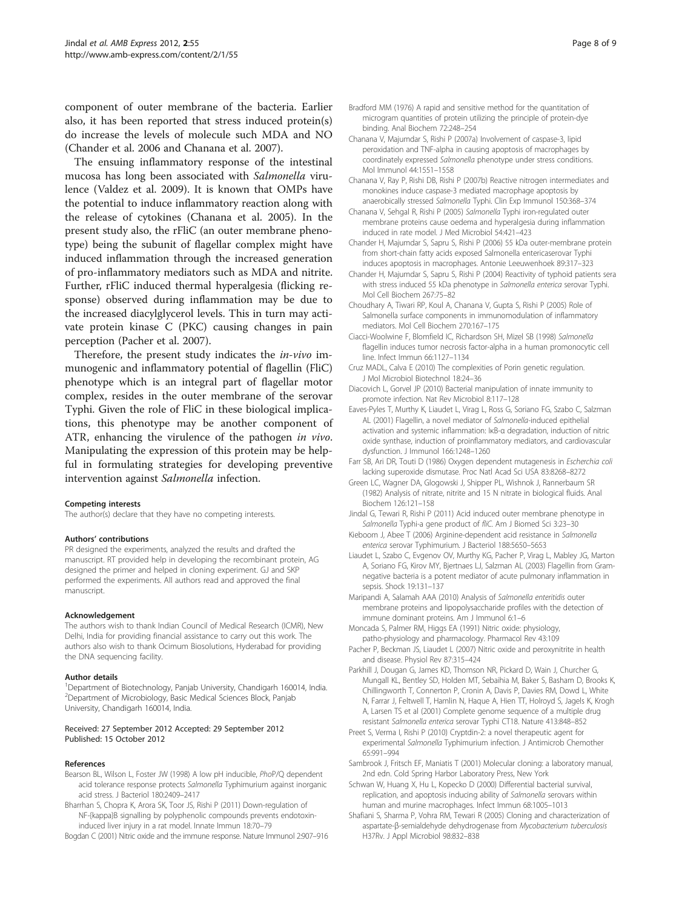<span id="page-7-0"></span>component of outer membrane of the bacteria. Earlier also, it has been reported that stress induced protein(s) do increase the levels of molecule such MDA and NO (Chander et al. 2006 and Chanana et al. 2007).

The ensuing inflammatory response of the intestinal mucosa has long been associated with Salmonella virulence ([Valdez et al. 2009](#page-8-0)). It is known that OMPs have the potential to induce inflammatory reaction along with the release of cytokines (Chanana et al. 2005). In the present study also, the rFliC (an outer membrane phenotype) being the subunit of flagellar complex might have induced inflammation through the increased generation of pro-inflammatory mediators such as MDA and nitrite. Further, rFliC induced thermal hyperalgesia (flicking response) observed during inflammation may be due to the increased diacylglycerol levels. This in turn may activate protein kinase C (PKC) causing changes in pain perception (Pacher et al. 2007).

Therefore, the present study indicates the in-vivo immunogenic and inflammatory potential of flagellin (FliC) phenotype which is an integral part of flagellar motor complex, resides in the outer membrane of the serovar Typhi. Given the role of FliC in these biological implications, this phenotype may be another component of ATR, enhancing the virulence of the pathogen in vivo. Manipulating the expression of this protein may be helpful in formulating strategies for developing preventive intervention against Salmonella infection.

#### Competing interests

The author(s) declare that they have no competing interests.

#### Authors' contributions

PR designed the experiments, analyzed the results and drafted the manuscript. RT provided help in developing the recombinant protein, AG designed the primer and helped in cloning experiment. GJ and SKP performed the experiments. All authors read and approved the final manuscript.

#### Acknowledgement

The authors wish to thank Indian Council of Medical Research (ICMR), New Delhi, India for providing financial assistance to carry out this work. The authors also wish to thank Ocimum Biosolutions, Hyderabad for providing the DNA sequencing facility.

#### Author details

<sup>1</sup>Department of Biotechnology, Panjab University, Chandigarh 160014, India. 2 Department of Microbiology, Basic Medical Sciences Block, Panjab University, Chandigarh 160014, India.

#### Received: 27 September 2012 Accepted: 29 September 2012 Published: 15 October 2012

#### References

- Bearson BL, Wilson L, Foster JW (1998) A low pH inducible, PhoP/Q dependent acid tolerance response protects Salmonella Typhimurium against inorganic acid stress. J Bacteriol 180:2409–2417
- Bharrhan S, Chopra K, Arora SK, Toor JS, Rishi P (2011) Down-regulation of NF-{kappa}B signalling by polyphenolic compounds prevents endotoxininduced liver injury in a rat model. Innate Immun 18:70–79
- Bogdan C (2001) Nitric oxide and the immune response. Nature Immunol 2:907–916
- Bradford MM (1976) A rapid and sensitive method for the quantitation of microgram quantities of protein utilizing the principle of protein-dye binding. Anal Biochem 72:248–254
- Chanana V, Majumdar S, Rishi P (2007a) Involvement of caspase-3, lipid peroxidation and TNF-alpha in causing apoptosis of macrophages by coordinately expressed Salmonella phenotype under stress conditions. Mol Immunol 44:1551–1558
- Chanana V, Ray P, Rishi DB, Rishi P (2007b) Reactive nitrogen intermediates and monokines induce caspase-3 mediated macrophage apoptosis by anaerobically stressed Salmonella Typhi. Clin Exp Immunol 150:368–374
- Chanana V, Sehgal R, Rishi P (2005) Salmonella Typhi iron-regulated outer membrane proteins cause oedema and hyperalgesia during inflammation induced in rate model. J Med Microbiol 54:421–423
- Chander H, Majumdar S, Sapru S, Rishi P (2006) 55 kDa outer-membrane protein from short-chain fatty acids exposed Salmonella entericaserovar Typhi induces apoptosis in macrophages. Antonie Leeuwenhoek 89:317–323
- Chander H, Majumdar S, Sapru S, Rishi P (2004) Reactivity of typhoid patients sera with stress induced 55 kDa phenotype in Salmonella enterica serovar Typhi. Mol Cell Biochem 267:75–82
- Choudhary A, Tiwari RP, Koul A, Chanana V, Gupta S, Rishi P (2005) Role of Salmonella surface components in immunomodulation of inflammatory mediators. Mol Cell Biochem 270:167–175
- Ciacci-Woolwine F, Blomfield IC, Richardson SH, Mizel SB (1998) Salmonella flagellin induces tumor necrosis factor-alpha in a human promonocytic cell line. Infect Immun 66:1127–1134
- Cruz MADL, Calva E (2010) The complexities of Porin genetic regulation. J Mol Microbiol Biotechnol 18:24–36
- Diacovich L, Gorvel JP (2010) Bacterial manipulation of innate immunity to promote infection. Nat Rev Microbiol 8:117–128
- Eaves-Pyles T, Murthy K, Liaudet L, Virag L, Ross G, Soriano FG, Szabo C, Salzman AL (2001) Flagellin, a novel mediator of Salmonella-induced epithelial activation and systemic inflammation: IκB-α degradation, induction of nitric oxide synthase, induction of proinflammatory mediators, and cardiovascular dysfunction. J Immunol 166:1248–1260
- Farr SB, Ari DR, Touti D (1986) Oxygen dependent mutagenesis in Escherchia coli lacking superoxide dismutase. Proc Natl Acad Sci USA 83:8268–8272
- Green LC, Wagner DA, Glogowski J, Shipper PL, Wishnok J, Rannerbaum SR (1982) Analysis of nitrate, nitrite and 15 N nitrate in biological fluids. Anal Biochem 126:121–158
- Jindal G, Tewari R, Rishi P (2011) Acid induced outer membrane phenotype in Salmonella Typhi-a gene product of fliC. Am J Biomed Sci 3:23-30
- Kieboom J, Abee T (2006) Arginine-dependent acid resistance in Salmonella enterica serovar Typhimurium. J Bacteriol 188:5650–5653
- Liaudet L, Szabo C, Evgenov OV, Murthy KG, Pacher P, Virag L, Mabley JG, Marton A, Soriano FG, Kirov MY, Bjertnaes LJ, Salzman AL (2003) Flagellin from Gramnegative bacteria is a potent mediator of acute pulmonary inflammation in sepsis. Shock 19:131–137
- Maripandi A, Salamah AAA (2010) Analysis of Salmonella enteritidis outer membrane proteins and lipopolysaccharide profiles with the detection of immune dominant proteins. Am J Immunol 6:1–6
- Moncada S, Palmer RM, Higgs EA (1991) Nitric oxide: physiology, patho-physiology and pharmacology. Pharmacol Rev 43:109
- Pacher P, Beckman JS, Liaudet L (2007) Nitric oxide and peroxynitrite in health and disease. Physiol Rev 87:315–424
- Parkhill J, Dougan G, James KD, Thomson NR, Pickard D, Wain J, Churcher G, Mungall KL, Bentley SD, Holden MT, Sebaihia M, Baker S, Basham D, Brooks K, Chillingworth T, Connerton P, Cronin A, Davis P, Davies RM, Dowd L, White N, Farrar J, Feltwell T, Hamlin N, Haque A, Hien TT, Holroyd S, Jagels K, Krogh A, Larsen TS et al (2001) Complete genome sequence of a multiple drug resistant Salmonella enterica serovar Typhi CT18. Nature 413:848–852
- Preet S, Verma I, Rishi P (2010) Cryptdin-2: a novel therapeutic agent for experimental Salmonella Typhimurium infection. J Antimicrob Chemother 65:991–994
- Sambrook J, Fritsch EF, Maniatis T (2001) Molecular cloning: a laboratory manual, 2nd edn. Cold Spring Harbor Laboratory Press, New York
- Schwan W, Huang X, Hu L, Kopecko D (2000) Differential bacterial survival, replication, and apoptosis inducing ability of Salmonella serovars within human and murine macrophages. Infect Immun 68:1005–1013
- Shafiani S, Sharma P, Vohra RM, Tewari R (2005) Cloning and characterization of aspartate-β-semialdehyde dehydrogenase from Mycobacterium tuberculosis H37Rv. J Appl Microbiol 98:832–838